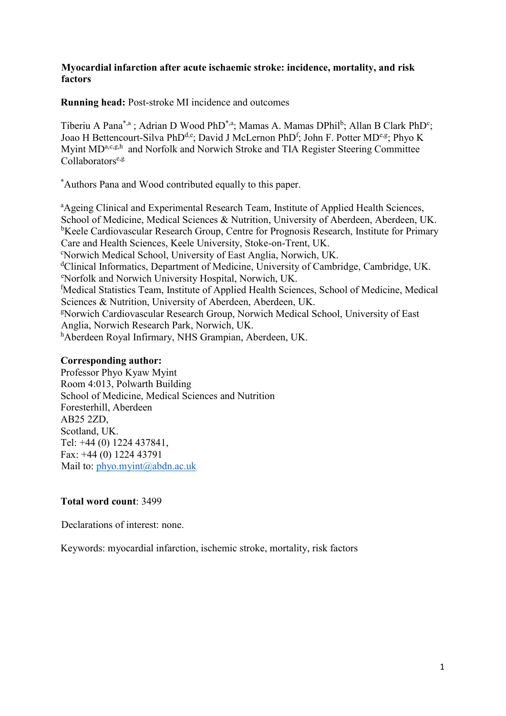# **Myocardial infarction after acute ischaemic stroke: incidence, mortality, and risk factors**

**Running head:** Post-stroke MI incidence and outcomes

Tiberiu A Pana<sup>\*,a</sup>; Adrian D Wood PhD<sup>\*,a</sup>; Mamas A. Mamas DPhil<sup>b</sup>; Allan B Clark PhD<sup>c</sup>; Joao H Bettencourt-Silva PhD<sup>d,e</sup>; David J McLernon PhD<sup>f</sup>; John F. Potter MD<sup>e,g</sup>; Phyo K Myint MD<sup>a,c,g,h</sup> and Norfolk and Norwich Stroke and TIA Register Steering Committee  $Collaborators<sup>e,g</sup>$ 

\*Authors Pana and Wood contributed equally to this paper.

<sup>a</sup>Ageing Clinical and Experimental Research Team, Institute of Applied Health Sciences, School of Medicine, Medical Sciences & Nutrition, University of Aberdeen, Aberdeen, UK. <sup>b</sup>Keele Cardiovascular Research Group, Centre for Prognosis Research, Institute for Primary Care and Health Sciences, Keele University, Stoke-on-Trent, UK. <sup>c</sup>Norwich Medical School, University of East Anglia, Norwich, UK. <sup>d</sup>Clinical Informatics, Department of Medicine, University of Cambridge, Cambridge, UK. <sup>e</sup>Norfolk and Norwich University Hospital, Norwich, UK. <sup>f</sup>Medical Statistics Team, Institute of Applied Health Sciences, School of Medicine, Medical Sciences & Nutrition, University of Aberdeen, Aberdeen, UK. <sup>g</sup>Norwich Cardiovascular Research Group, Norwich Medical School, University of East Anglia, Norwich Research Park, Norwich, UK. hAberdeen Royal Infirmary, NHS Grampian, Aberdeen, UK.

# **Corresponding author:**

Professor Phyo Kyaw Myint Room 4:013, Polwarth Building School of Medicine, Medical Sciences and Nutrition Foresterhill, Aberdeen AB25 2ZD, Scotland, UK. Tel: +44 (0) 1224 437841, Fax: +44 (0) 1224 43791 Mail to: phyo.myint@abdn.ac.uk

# **Total word count**: 3499

Declarations of interest: none.

Keywords: myocardial infarction, ischemic stroke, mortality, risk factors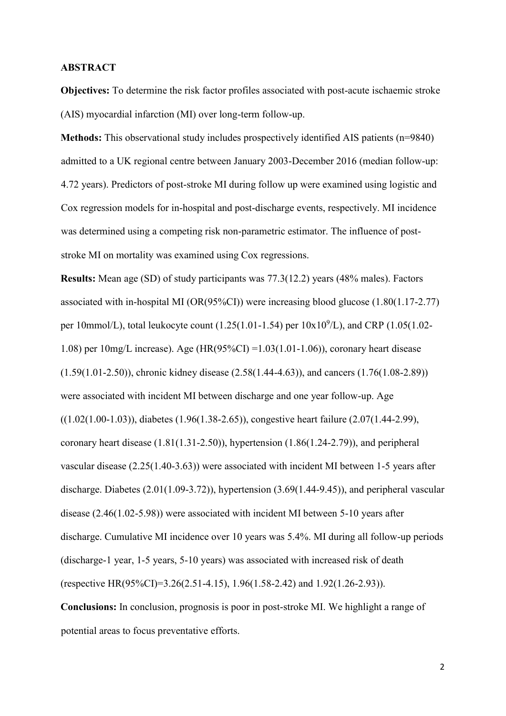### **ABSTRACT**

**Objectives:** To determine the risk factor profiles associated with post-acute ischaemic stroke (AIS) myocardial infarction (MI) over long-term follow-up.

**Methods:** This observational study includes prospectively identified AIS patients (n=9840) admitted to a UK regional centre between January 2003-December 2016 (median follow-up: 4.72 years). Predictors of post-stroke MI during follow up were examined using logistic and Cox regression models for in-hospital and post-discharge events, respectively. MI incidence was determined using a competing risk non-parametric estimator. The influence of poststroke MI on mortality was examined using Cox regressions.

**Results:** Mean age (SD) of study participants was 77.3(12.2) years (48% males). Factors associated with in-hospital MI (OR(95%CI)) were increasing blood glucose (1.80(1.17-2.77) per 10mmol/L), total leukocyte count (1.25(1.01-1.54) per  $10x10^9$ /L), and CRP (1.05(1.02-1.08) per 10mg/L increase). Age (HR(95%CI) =1.03(1.01-1.06)), coronary heart disease (1.59(1.01-2.50)), chronic kidney disease (2.58(1.44-4.63)), and cancers (1.76(1.08-2.89)) were associated with incident MI between discharge and one year follow-up. Age ((1.02(1.00-1.03)), diabetes (1.96(1.38-2.65)), congestive heart failure (2.07(1.44-2.99), coronary heart disease (1.81(1.31-2.50)), hypertension (1.86(1.24-2.79)), and peripheral vascular disease (2.25(1.40-3.63)) were associated with incident MI between 1-5 years after discharge. Diabetes (2.01(1.09-3.72)), hypertension (3.69(1.44-9.45)), and peripheral vascular disease (2.46(1.02-5.98)) were associated with incident MI between 5-10 years after discharge. Cumulative MI incidence over 10 years was 5.4%. MI during all follow-up periods (discharge-1 year, 1-5 years, 5-10 years) was associated with increased risk of death (respective HR(95%CI)=3.26(2.51-4.15), 1.96(1.58-2.42) and 1.92(1.26-2.93)). **Conclusions:** In conclusion, prognosis is poor in post-stroke MI. We highlight a range of

potential areas to focus preventative efforts.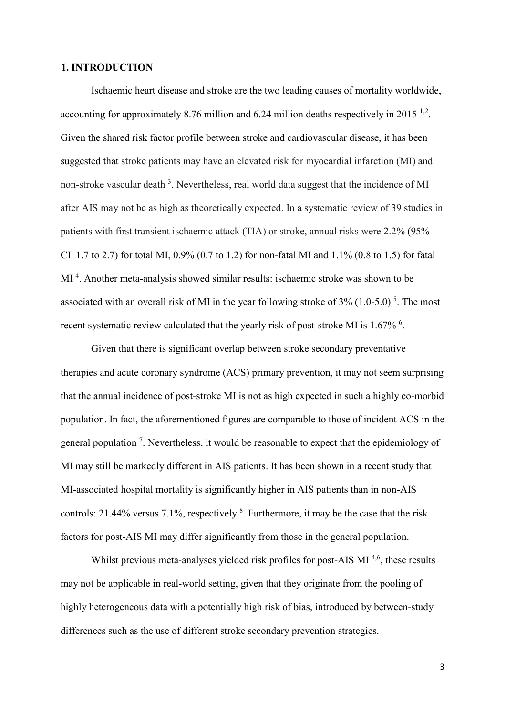### **1. INTRODUCTION**

Ischaemic heart disease and stroke are the two leading causes of mortality worldwide, accounting for approximately 8.76 million and 6.24 million deaths respectively in 2015<sup>1,2</sup>. Given the shared risk factor profile between stroke and cardiovascular disease, it has been suggested that stroke patients may have an elevated risk for myocardial infarction (MI) and non-stroke vascular death<sup>3</sup>. Nevertheless, real world data suggest that the incidence of MI after AIS may not be as high as theoretically expected. In a systematic review of 39 studies in patients with first transient ischaemic attack (TIA) or stroke, annual risks were 2.2% (95% CI: 1.7 to 2.7) for total MI, 0.9% (0.7 to 1.2) for non-fatal MI and 1.1% (0.8 to 1.5) for fatal MI<sup>4</sup>. Another meta-analysis showed similar results: ischaemic stroke was shown to be associated with an overall risk of MI in the year following stroke of  $3\%$  (1.0-5.0)<sup>5</sup>. The most recent systematic review calculated that the yearly risk of post-stroke MI is  $1.67\%$ .

Given that there is significant overlap between stroke secondary preventative therapies and acute coronary syndrome (ACS) primary prevention, it may not seem surprising that the annual incidence of post-stroke MI is not as high expected in such a highly co-morbid population. In fact, the aforementioned figures are comparable to those of incident ACS in the general population<sup>7</sup>. Nevertheless, it would be reasonable to expect that the epidemiology of MI may still be markedly different in AIS patients. It has been shown in a recent study that MI-associated hospital mortality is significantly higher in AIS patients than in non-AIS controls: 21.44% versus 7.1%, respectively  $8$ . Furthermore, it may be the case that the risk factors for post-AIS MI may differ significantly from those in the general population.

Whilst previous meta-analyses yielded risk profiles for post-AIS MI<sup>4,6</sup>, these results may not be applicable in real-world setting, given that they originate from the pooling of highly heterogeneous data with a potentially high risk of bias, introduced by between-study differences such as the use of different stroke secondary prevention strategies.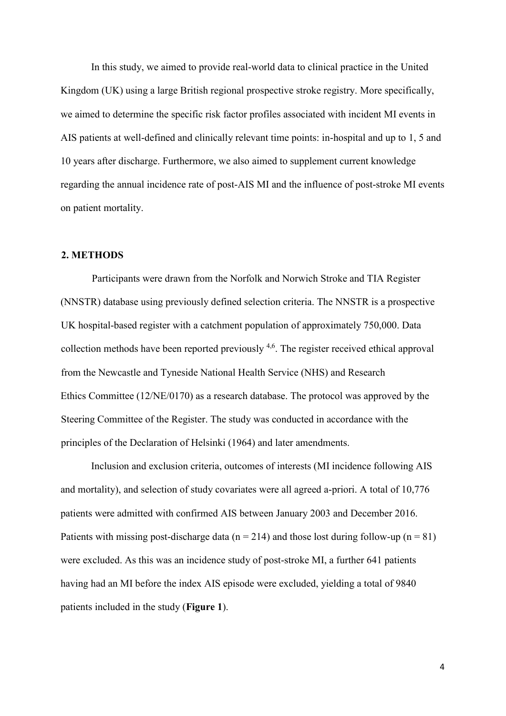In this study, we aimed to provide real-world data to clinical practice in the United Kingdom (UK) using a large British regional prospective stroke registry. More specifically, we aimed to determine the specific risk factor profiles associated with incident MI events in AIS patients at well-defined and clinically relevant time points: in-hospital and up to 1, 5 and 10 years after discharge. Furthermore, we also aimed to supplement current knowledge regarding the annual incidence rate of post-AIS MI and the influence of post-stroke MI events on patient mortality.

# **2. METHODS**

Participants were drawn from the Norfolk and Norwich Stroke and TIA Register (NNSTR) database using previously defined selection criteria. The NNSTR is a prospective UK hospital-based register with a catchment population of approximately 750,000. Data collection methods have been reported previously  $4.6$ . The register received ethical approval from the Newcastle and Tyneside National Health Service (NHS) and Research Ethics Committee (12/NE/0170) as a research database. The protocol was approved by the Steering Committee of the Register. The study was conducted in accordance with the principles of the Declaration of Helsinki (1964) and later amendments.

Inclusion and exclusion criteria, outcomes of interests (MI incidence following AIS and mortality), and selection of study covariates were all agreed a-priori. A total of 10,776 patients were admitted with confirmed AIS between January 2003 and December 2016. Patients with missing post-discharge data ( $n = 214$ ) and those lost during follow-up ( $n = 81$ ) were excluded. As this was an incidence study of post-stroke MI, a further 641 patients having had an MI before the index AIS episode were excluded, yielding a total of 9840 patients included in the study (**Figure 1**).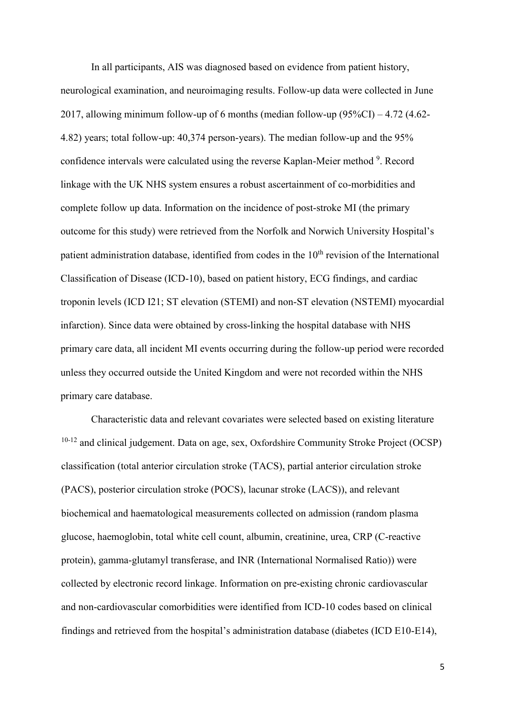In all participants, AIS was diagnosed based on evidence from patient history, neurological examination, and neuroimaging results. Follow-up data were collected in June 2017, allowing minimum follow-up of 6 months (median follow-up (95%CI) – 4.72 (4.62- 4.82) years; total follow-up: 40,374 person-years). The median follow-up and the 95% confidence intervals were calculated using the reverse Kaplan-Meier method <sup>9</sup>. Record linkage with the UK NHS system ensures a robust ascertainment of co-morbidities and complete follow up data. Information on the incidence of post-stroke MI (the primary outcome for this study) were retrieved from the Norfolk and Norwich University Hospital's patient administration database, identified from codes in the  $10<sup>th</sup>$  revision of the International Classification of Disease (ICD-10), based on patient history, ECG findings, and cardiac troponin levels (ICD I21; ST elevation (STEMI) and non-ST elevation (NSTEMI) myocardial infarction). Since data were obtained by cross-linking the hospital database with NHS primary care data, all incident MI events occurring during the follow-up period were recorded unless they occurred outside the United Kingdom and were not recorded within the NHS primary care database.

Characteristic data and relevant covariates were selected based on existing literature  $10-12$  and clinical judgement. Data on age, sex, Oxfordshire Community Stroke Project (OCSP) classification (total anterior circulation stroke (TACS), partial anterior circulation stroke (PACS), posterior circulation stroke (POCS), lacunar stroke (LACS)), and relevant biochemical and haematological measurements collected on admission (random plasma glucose, haemoglobin, total white cell count, albumin, creatinine, urea, CRP (C-reactive protein), gamma-glutamyl transferase, and INR (International Normalised Ratio)) were collected by electronic record linkage. Information on pre-existing chronic cardiovascular and non-cardiovascular comorbidities were identified from ICD-10 codes based on clinical findings and retrieved from the hospital's administration database (diabetes (ICD E10-E14),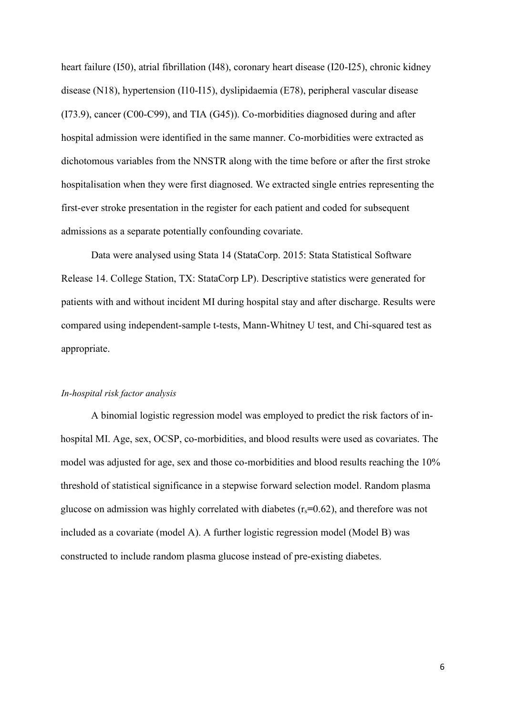heart failure (I50), atrial fibrillation (I48), coronary heart disease (I20-I25), chronic kidney disease (N18), hypertension (I10-I15), dyslipidaemia (E78), peripheral vascular disease (I73.9), cancer (C00-C99), and TIA (G45)). Co-morbidities diagnosed during and after hospital admission were identified in the same manner. Co-morbidities were extracted as dichotomous variables from the NNSTR along with the time before or after the first stroke hospitalisation when they were first diagnosed. We extracted single entries representing the first-ever stroke presentation in the register for each patient and coded for subsequent admissions as a separate potentially confounding covariate.

Data were analysed using Stata 14 (StataCorp. 2015: Stata Statistical Software Release 14. College Station, TX: StataCorp LP). Descriptive statistics were generated for patients with and without incident MI during hospital stay and after discharge. Results were compared using independent-sample t-tests, Mann-Whitney U test, and Chi-squared test as appropriate.

#### *In-hospital risk factor analysis*

A binomial logistic regression model was employed to predict the risk factors of inhospital MI. Age, sex, OCSP, co-morbidities, and blood results were used as covariates. The model was adjusted for age, sex and those co-morbidities and blood results reaching the 10% threshold of statistical significance in a stepwise forward selection model. Random plasma glucose on admission was highly correlated with diabetes (rs**=**0.62), and therefore was not included as a covariate (model A). A further logistic regression model (Model B) was constructed to include random plasma glucose instead of pre-existing diabetes.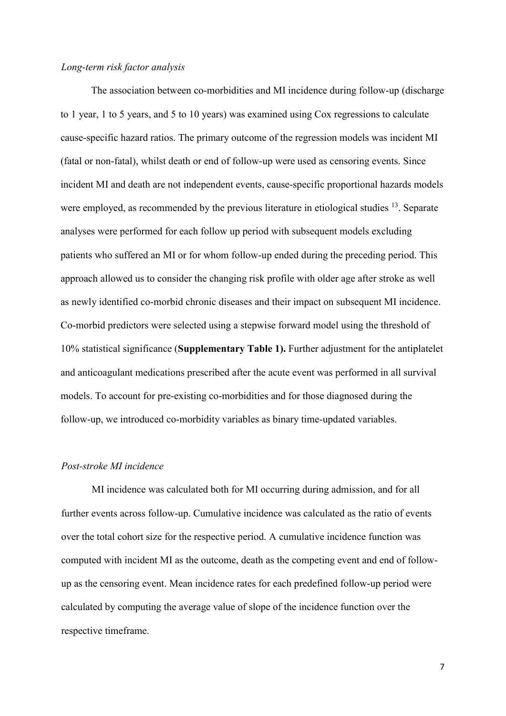### *Long-term risk factor analysis*

The association between co-morbidities and MI incidence during follow-up (discharge to 1 year, 1 to 5 years, and 5 to 10 years) was examined using Cox regressions to calculate cause-specific hazard ratios. The primary outcome of the regression models was incident MI (fatal or non-fatal), whilst death or end of follow-up were used as censoring events. Since incident MI and death are not independent events, cause-specific proportional hazards models were employed, as recommended by the previous literature in etiological studies <sup>13</sup>. Separate analyses were performed for each follow up period with subsequent models excluding patients who suffered an MI or for whom follow-up ended during the preceding period. This approach allowed us to consider the changing risk profile with older age after stroke as well as newly identified co-morbid chronic diseases and their impact on subsequent MI incidence. Co-morbid predictors were selected using a stepwise forward model using the threshold of 10% statistical significance (**Supplementary Table 1).** Further adjustment for the antiplatelet and anticoagulant medications prescribed after the acute event was performed in all survival models. To account for pre-existing co-morbidities and for those diagnosed during the follow-up, we introduced co-morbidity variables as binary time-updated variables.

## *Post-stroke MI incidence*

MI incidence was calculated both for MI occurring during admission, and for all further events across follow-up. Cumulative incidence was calculated as the ratio of events over the total cohort size for the respective period. A cumulative incidence function was computed with incident MI as the outcome, death as the competing event and end of followup as the censoring event. Mean incidence rates for each predefined follow-up period were calculated by computing the average value of slope of the incidence function over the respective timeframe.

7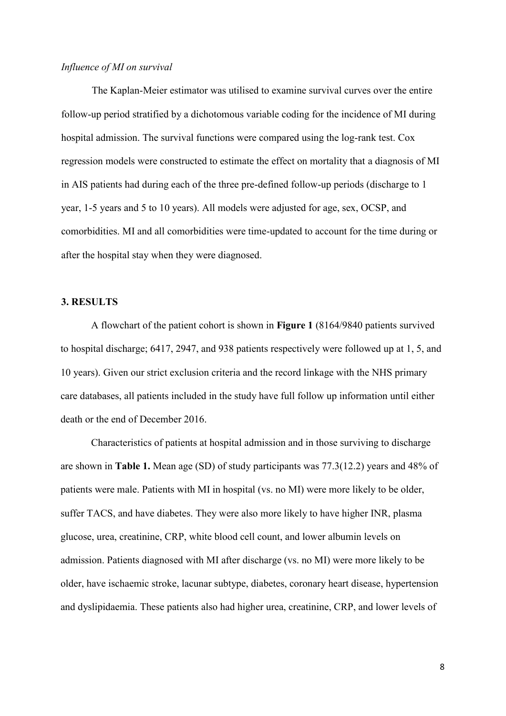### *Influence of MI on survival*

The Kaplan-Meier estimator was utilised to examine survival curves over the entire follow-up period stratified by a dichotomous variable coding for the incidence of MI during hospital admission. The survival functions were compared using the log-rank test. Cox regression models were constructed to estimate the effect on mortality that a diagnosis of MI in AIS patients had during each of the three pre-defined follow-up periods (discharge to 1 year, 1-5 years and 5 to 10 years). All models were adjusted for age, sex, OCSP, and comorbidities. MI and all comorbidities were time-updated to account for the time during or after the hospital stay when they were diagnosed.

## **3. RESULTS**

A flowchart of the patient cohort is shown in **Figure 1** (8164/9840 patients survived to hospital discharge; 6417, 2947, and 938 patients respectively were followed up at 1, 5, and 10 years). Given our strict exclusion criteria and the record linkage with the NHS primary care databases, all patients included in the study have full follow up information until either death or the end of December 2016.

Characteristics of patients at hospital admission and in those surviving to discharge are shown in **Table 1.** Mean age (SD) of study participants was 77.3(12.2) years and 48% of patients were male. Patients with MI in hospital (vs. no MI) were more likely to be older, suffer TACS, and have diabetes. They were also more likely to have higher INR, plasma glucose, urea, creatinine, CRP, white blood cell count, and lower albumin levels on admission. Patients diagnosed with MI after discharge (vs. no MI) were more likely to be older, have ischaemic stroke, lacunar subtype, diabetes, coronary heart disease, hypertension and dyslipidaemia. These patients also had higher urea, creatinine, CRP, and lower levels of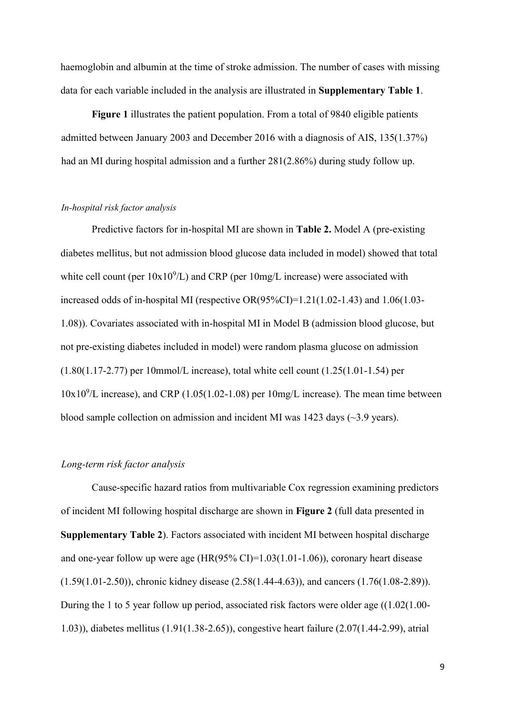haemoglobin and albumin at the time of stroke admission. The number of cases with missing data for each variable included in the analysis are illustrated in **Supplementary Table 1**.

**Figure 1** illustrates the patient population. From a total of 9840 eligible patients admitted between January 2003 and December 2016 with a diagnosis of AIS, 135(1.37%) had an MI during hospital admission and a further 281(2.86%) during study follow up.

#### *In-hospital risk factor analysis*

Predictive factors for in-hospital MI are shown in **Table 2.** Model A (pre-existing diabetes mellitus, but not admission blood glucose data included in model) showed that total white cell count (per  $10x10^9/L$ ) and CRP (per  $10mg/L$  increase) were associated with increased odds of in-hospital MI (respective OR(95%CI)=1.21(1.02-1.43) and 1.06(1.03- 1.08)). Covariates associated with in-hospital MI in Model B (admission blood glucose, but not pre-existing diabetes included in model) were random plasma glucose on admission (1.80(1.17-2.77) per 10mmol/L increase), total white cell count (1.25(1.01-1.54) per  $10x10<sup>9</sup>/L$  increase), and CRP (1.05(1.02-1.08) per 10mg/L increase). The mean time between blood sample collection on admission and incident MI was  $1423$  days ( $\sim$ 3.9 years).

# *Long-term risk factor analysis*

Cause-specific hazard ratios from multivariable Cox regression examining predictors of incident MI following hospital discharge are shown in **Figure 2** (full data presented in **Supplementary Table 2**). Factors associated with incident MI between hospital discharge and one-year follow up were age  $(HR(95\% \text{ CI})=1.03(1.01-1.06))$ , coronary heart disease (1.59(1.01-2.50)), chronic kidney disease (2.58(1.44-4.63)), and cancers (1.76(1.08-2.89)). During the 1 to 5 year follow up period, associated risk factors were older age ((1.02(1.00- 1.03)), diabetes mellitus (1.91(1.38-2.65)), congestive heart failure (2.07(1.44-2.99), atrial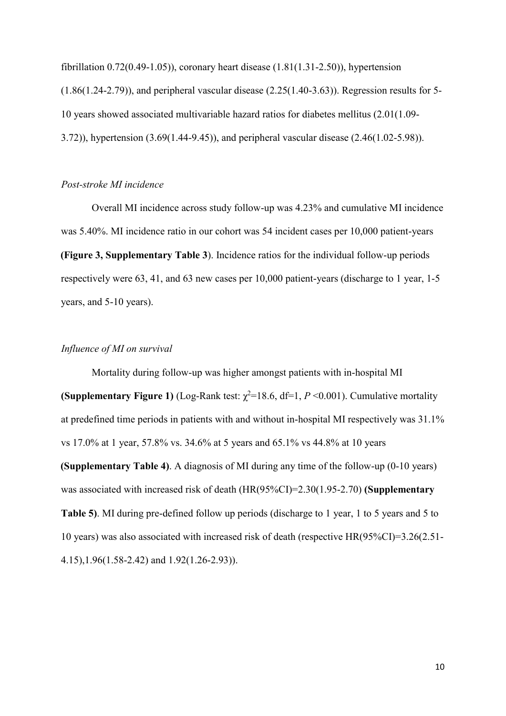fibrillation 0.72(0.49-1.05)), coronary heart disease (1.81(1.31-2.50)), hypertension (1.86(1.24-2.79)), and peripheral vascular disease (2.25(1.40-3.63)). Regression results for 5- 10 years showed associated multivariable hazard ratios for diabetes mellitus (2.01(1.09- 3.72)), hypertension (3.69(1.44-9.45)), and peripheral vascular disease (2.46(1.02-5.98)).

## *Post-stroke MI incidence*

Overall MI incidence across study follow-up was 4.23% and cumulative MI incidence was 5.40%. MI incidence ratio in our cohort was 54 incident cases per 10,000 patient-years **(Figure 3, Supplementary Table 3**). Incidence ratios for the individual follow-up periods respectively were 63, 41, and 63 new cases per 10,000 patient-years (discharge to 1 year, 1-5 years, and 5-10 years).

# *Influence of MI on survival*

Mortality during follow-up was higher amongst patients with in-hospital MI **(Supplementary Figure 1)** (Log-Rank test:  $\chi^2$ =18.6, df=1, *P* <0.001). Cumulative mortality at predefined time periods in patients with and without in-hospital MI respectively was 31.1% vs 17.0% at 1 year, 57.8% vs. 34.6% at 5 years and 65.1% vs 44.8% at 10 years **(Supplementary Table 4)**. A diagnosis of MI during any time of the follow-up (0-10 years) was associated with increased risk of death (HR(95%CI)=2.30(1.95-2.70) **(Supplementary Table 5)**. MI during pre-defined follow up periods (discharge to 1 year, 1 to 5 years and 5 to 10 years) was also associated with increased risk of death (respective HR(95%CI)=3.26(2.51- 4.15),1.96(1.58-2.42) and 1.92(1.26-2.93)).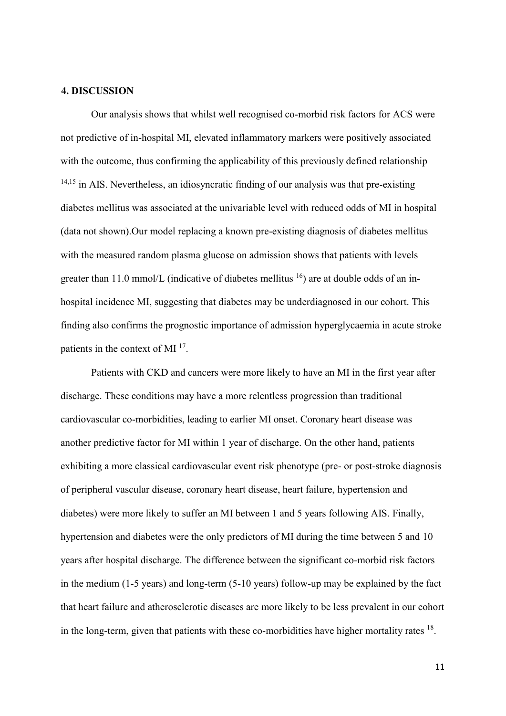#### **4. DISCUSSION**

Our analysis shows that whilst well recognised co-morbid risk factors for ACS were not predictive of in-hospital MI, elevated inflammatory markers were positively associated with the outcome, thus confirming the applicability of this previously defined relationship  $14,15$  in AIS. Nevertheless, an idiosyncratic finding of our analysis was that pre-existing diabetes mellitus was associated at the univariable level with reduced odds of MI in hospital (data not shown).Our model replacing a known pre-existing diagnosis of diabetes mellitus with the measured random plasma glucose on admission shows that patients with levels greater than 11.0 mmol/L (indicative of diabetes mellitus  $^{16}$ ) are at double odds of an inhospital incidence MI, suggesting that diabetes may be underdiagnosed in our cohort. This finding also confirms the prognostic importance of admission hyperglycaemia in acute stroke patients in the context of MI<sup>17</sup>.

Patients with CKD and cancers were more likely to have an MI in the first year after discharge. These conditions may have a more relentless progression than traditional cardiovascular co-morbidities, leading to earlier MI onset. Coronary heart disease was another predictive factor for MI within 1 year of discharge. On the other hand, patients exhibiting a more classical cardiovascular event risk phenotype (pre- or post-stroke diagnosis of peripheral vascular disease, coronary heart disease, heart failure, hypertension and diabetes) were more likely to suffer an MI between 1 and 5 years following AIS. Finally, hypertension and diabetes were the only predictors of MI during the time between 5 and 10 years after hospital discharge. The difference between the significant co-morbid risk factors in the medium (1-5 years) and long-term (5-10 years) follow-up may be explained by the fact that heart failure and atherosclerotic diseases are more likely to be less prevalent in our cohort in the long-term, given that patients with these co-morbidities have higher mortality rates  $^{18}$ .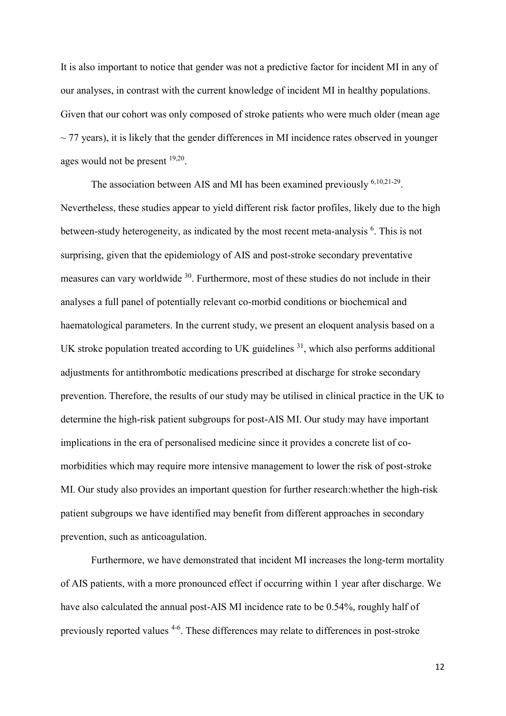It is also important to notice that gender was not a predictive factor for incident MI in any of our analyses, in contrast with the current knowledge of incident MI in healthy populations. Given that our cohort was only composed of stroke patients who were much older (mean age  $\sim$  77 years), it is likely that the gender differences in MI incidence rates observed in younger ages would not be present <sup>19,20</sup>.

The association between AIS and MI has been examined previously <sup>6,10,21-29</sup>. Nevertheless, these studies appear to yield different risk factor profiles, likely due to the high between-study heterogeneity, as indicated by the most recent meta-analysis <sup>6</sup>. This is not surprising, given that the epidemiology of AIS and post-stroke secondary preventative measures can vary worldwide <sup>30</sup>. Furthermore, most of these studies do not include in their analyses a full panel of potentially relevant co-morbid conditions or biochemical and haematological parameters. In the current study, we present an eloquent analysis based on a UK stroke population treated according to UK guidelines  $31$ , which also performs additional adjustments for antithrombotic medications prescribed at discharge for stroke secondary prevention. Therefore, the results of our study may be utilised in clinical practice in the UK to determine the high-risk patient subgroups for post-AIS MI. Our study may have important implications in the era of personalised medicine since it provides a concrete list of comorbidities which may require more intensive management to lower the risk of post-stroke MI. Our study also provides an important question for further research:whether the high-risk patient subgroups we have identified may benefit from different approaches in secondary prevention, such as anticoagulation.

Furthermore, we have demonstrated that incident MI increases the long-term mortality of AIS patients, with a more pronounced effect if occurring within 1 year after discharge. We have also calculated the annual post-AIS MI incidence rate to be 0.54%, roughly half of previously reported values <sup>4-6</sup>. These differences may relate to differences in post-stroke

12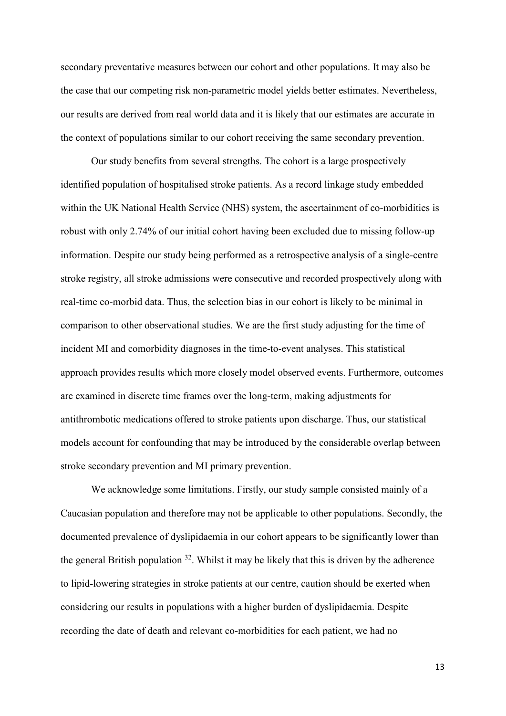secondary preventative measures between our cohort and other populations. It may also be the case that our competing risk non-parametric model yields better estimates. Nevertheless, our results are derived from real world data and it is likely that our estimates are accurate in the context of populations similar to our cohort receiving the same secondary prevention.

Our study benefits from several strengths. The cohort is a large prospectively identified population of hospitalised stroke patients. As a record linkage study embedded within the UK National Health Service (NHS) system, the ascertainment of co-morbidities is robust with only 2.74% of our initial cohort having been excluded due to missing follow-up information. Despite our study being performed as a retrospective analysis of a single-centre stroke registry, all stroke admissions were consecutive and recorded prospectively along with real-time co-morbid data. Thus, the selection bias in our cohort is likely to be minimal in comparison to other observational studies. We are the first study adjusting for the time of incident MI and comorbidity diagnoses in the time-to-event analyses. This statistical approach provides results which more closely model observed events. Furthermore, outcomes are examined in discrete time frames over the long-term, making adjustments for antithrombotic medications offered to stroke patients upon discharge. Thus, our statistical models account for confounding that may be introduced by the considerable overlap between stroke secondary prevention and MI primary prevention.

We acknowledge some limitations. Firstly, our study sample consisted mainly of a Caucasian population and therefore may not be applicable to other populations. Secondly, the documented prevalence of dyslipidaemia in our cohort appears to be significantly lower than the general British population  $32$ . Whilst it may be likely that this is driven by the adherence to lipid-lowering strategies in stroke patients at our centre, caution should be exerted when considering our results in populations with a higher burden of dyslipidaemia. Despite recording the date of death and relevant co-morbidities for each patient, we had no

13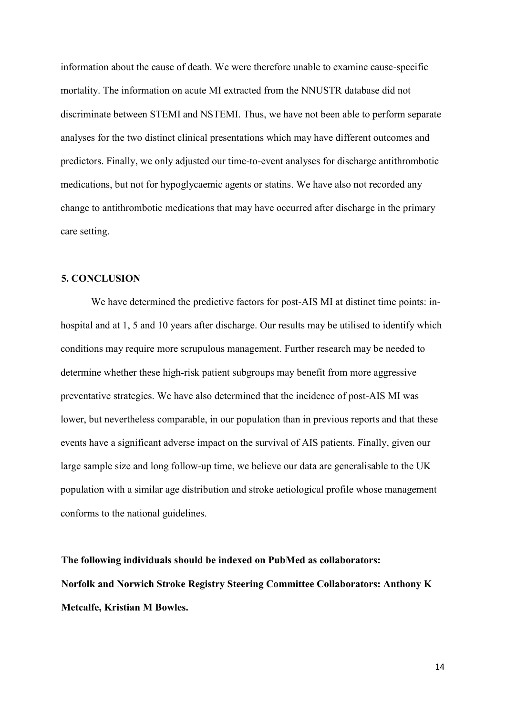information about the cause of death. We were therefore unable to examine cause-specific mortality. The information on acute MI extracted from the NNUSTR database did not discriminate between STEMI and NSTEMI. Thus, we have not been able to perform separate analyses for the two distinct clinical presentations which may have different outcomes and predictors. Finally, we only adjusted our time-to-event analyses for discharge antithrombotic medications, but not for hypoglycaemic agents or statins. We have also not recorded any change to antithrombotic medications that may have occurred after discharge in the primary care setting.

## **5. CONCLUSION**

We have determined the predictive factors for post-AIS MI at distinct time points: inhospital and at 1, 5 and 10 years after discharge. Our results may be utilised to identify which conditions may require more scrupulous management. Further research may be needed to determine whether these high-risk patient subgroups may benefit from more aggressive preventative strategies. We have also determined that the incidence of post-AIS MI was lower, but nevertheless comparable, in our population than in previous reports and that these events have a significant adverse impact on the survival of AIS patients. Finally, given our large sample size and long follow-up time, we believe our data are generalisable to the UK population with a similar age distribution and stroke aetiological profile whose management conforms to the national guidelines.

**The following individuals should be indexed on PubMed as collaborators: Norfolk and Norwich Stroke Registry Steering Committee Collaborators: Anthony K Metcalfe, Kristian M Bowles.**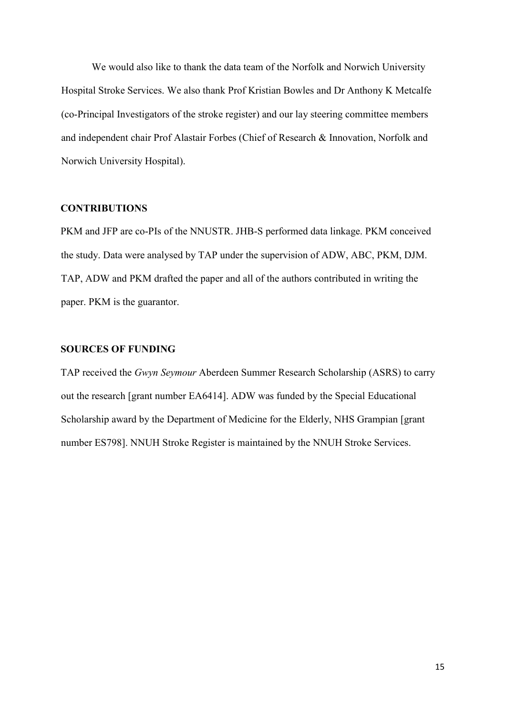We would also like to thank the data team of the Norfolk and Norwich University Hospital Stroke Services. We also thank Prof Kristian Bowles and Dr Anthony K Metcalfe (co-Principal Investigators of the stroke register) and our lay steering committee members and independent chair Prof Alastair Forbes (Chief of Research & Innovation, Norfolk and Norwich University Hospital).

### **CONTRIBUTIONS**

PKM and JFP are co-PIs of the NNUSTR. JHB-S performed data linkage. PKM conceived the study. Data were analysed by TAP under the supervision of ADW, ABC, PKM, DJM. TAP, ADW and PKM drafted the paper and all of the authors contributed in writing the paper. PKM is the guarantor.

# **SOURCES OF FUNDING**

TAP received the *Gwyn Seymour* Aberdeen Summer Research Scholarship (ASRS) to carry out the research [grant number EA6414]. ADW was funded by the Special Educational Scholarship award by the Department of Medicine for the Elderly, NHS Grampian [grant number ES798]. NNUH Stroke Register is maintained by the NNUH Stroke Services.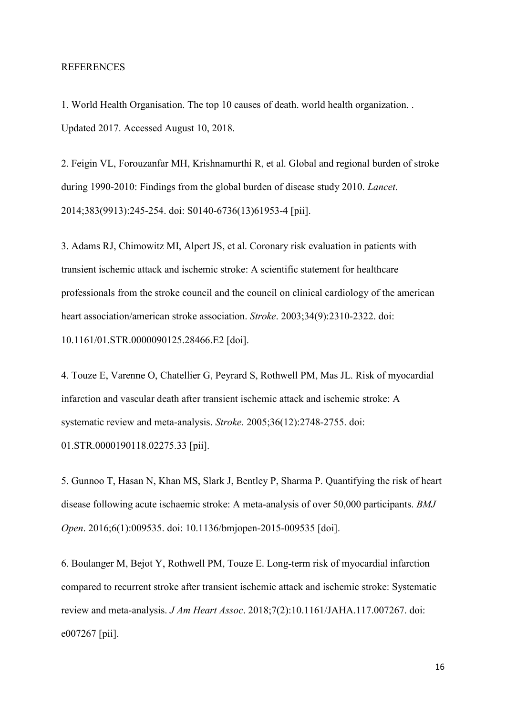### REFERENCES

1. World Health Organisation. The top 10 causes of death. world health organization. . Updated 2017. Accessed August 10, 2018.

2. Feigin VL, Forouzanfar MH, Krishnamurthi R, et al. Global and regional burden of stroke during 1990-2010: Findings from the global burden of disease study 2010. *Lancet*. 2014;383(9913):245-254. doi: S0140-6736(13)61953-4 [pii].

3. Adams RJ, Chimowitz MI, Alpert JS, et al. Coronary risk evaluation in patients with transient ischemic attack and ischemic stroke: A scientific statement for healthcare professionals from the stroke council and the council on clinical cardiology of the american heart association/american stroke association. *Stroke*. 2003;34(9):2310-2322. doi: 10.1161/01.STR.0000090125.28466.E2 [doi].

4. Touze E, Varenne O, Chatellier G, Peyrard S, Rothwell PM, Mas JL. Risk of myocardial infarction and vascular death after transient ischemic attack and ischemic stroke: A systematic review and meta-analysis. *Stroke*. 2005;36(12):2748-2755. doi: 01.STR.0000190118.02275.33 [pii].

5. Gunnoo T, Hasan N, Khan MS, Slark J, Bentley P, Sharma P. Quantifying the risk of heart disease following acute ischaemic stroke: A meta-analysis of over 50,000 participants. *BMJ Open*. 2016;6(1):009535. doi: 10.1136/bmjopen-2015-009535 [doi].

6. Boulanger M, Bejot Y, Rothwell PM, Touze E. Long-term risk of myocardial infarction compared to recurrent stroke after transient ischemic attack and ischemic stroke: Systematic review and meta-analysis. *J Am Heart Assoc*. 2018;7(2):10.1161/JAHA.117.007267. doi: e007267 [pii].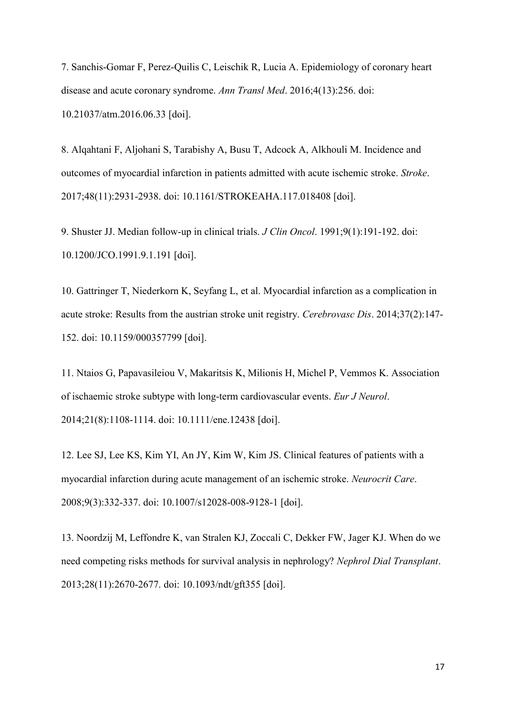7. Sanchis-Gomar F, Perez-Quilis C, Leischik R, Lucia A. Epidemiology of coronary heart disease and acute coronary syndrome. *Ann Transl Med*. 2016;4(13):256. doi: 10.21037/atm.2016.06.33 [doi].

8. Alqahtani F, Aljohani S, Tarabishy A, Busu T, Adcock A, Alkhouli M. Incidence and outcomes of myocardial infarction in patients admitted with acute ischemic stroke. *Stroke*. 2017;48(11):2931-2938. doi: 10.1161/STROKEAHA.117.018408 [doi].

9. Shuster JJ. Median follow-up in clinical trials. *J Clin Oncol*. 1991;9(1):191-192. doi: 10.1200/JCO.1991.9.1.191 [doi].

10. Gattringer T, Niederkorn K, Seyfang L, et al. Myocardial infarction as a complication in acute stroke: Results from the austrian stroke unit registry. *Cerebrovasc Dis*. 2014;37(2):147- 152. doi: 10.1159/000357799 [doi].

11. Ntaios G, Papavasileiou V, Makaritsis K, Milionis H, Michel P, Vemmos K. Association of ischaemic stroke subtype with long-term cardiovascular events. *Eur J Neurol*. 2014;21(8):1108-1114. doi: 10.1111/ene.12438 [doi].

12. Lee SJ, Lee KS, Kim YI, An JY, Kim W, Kim JS. Clinical features of patients with a myocardial infarction during acute management of an ischemic stroke. *Neurocrit Care*. 2008;9(3):332-337. doi: 10.1007/s12028-008-9128-1 [doi].

13. Noordzij M, Leffondre K, van Stralen KJ, Zoccali C, Dekker FW, Jager KJ. When do we need competing risks methods for survival analysis in nephrology? *Nephrol Dial Transplant*. 2013;28(11):2670-2677. doi: 10.1093/ndt/gft355 [doi].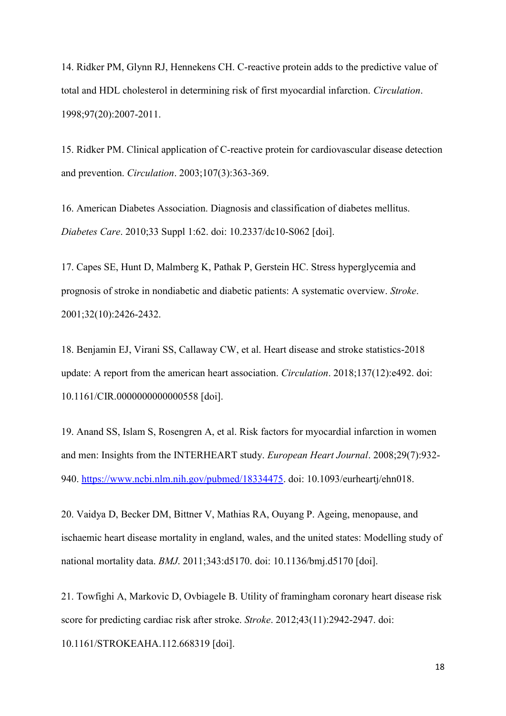14. Ridker PM, Glynn RJ, Hennekens CH. C-reactive protein adds to the predictive value of total and HDL cholesterol in determining risk of first myocardial infarction. *Circulation*. 1998;97(20):2007-2011.

15. Ridker PM. Clinical application of C-reactive protein for cardiovascular disease detection and prevention. *Circulation*. 2003;107(3):363-369.

16. American Diabetes Association. Diagnosis and classification of diabetes mellitus. *Diabetes Care*. 2010;33 Suppl 1:62. doi: 10.2337/dc10-S062 [doi].

17. Capes SE, Hunt D, Malmberg K, Pathak P, Gerstein HC. Stress hyperglycemia and prognosis of stroke in nondiabetic and diabetic patients: A systematic overview. *Stroke*. 2001;32(10):2426-2432.

18. Benjamin EJ, Virani SS, Callaway CW, et al. Heart disease and stroke statistics-2018 update: A report from the american heart association. *Circulation*. 2018;137(12):e492. doi: 10.1161/CIR.0000000000000558 [doi].

19. Anand SS, Islam S, Rosengren A, et al. Risk factors for myocardial infarction in women and men: Insights from the INTERHEART study. *European Heart Journal*. 2008;29(7):932- 940. [https://www.ncbi.nlm.nih.gov/pubmed/18334475.](https://www.ncbi.nlm.nih.gov/pubmed/18334475) doi: 10.1093/eurheartj/ehn018.

20. Vaidya D, Becker DM, Bittner V, Mathias RA, Ouyang P. Ageing, menopause, and ischaemic heart disease mortality in england, wales, and the united states: Modelling study of national mortality data. *BMJ*. 2011;343:d5170. doi: 10.1136/bmj.d5170 [doi].

21. Towfighi A, Markovic D, Ovbiagele B. Utility of framingham coronary heart disease risk score for predicting cardiac risk after stroke. *Stroke*. 2012;43(11):2942-2947. doi: 10.1161/STROKEAHA.112.668319 [doi].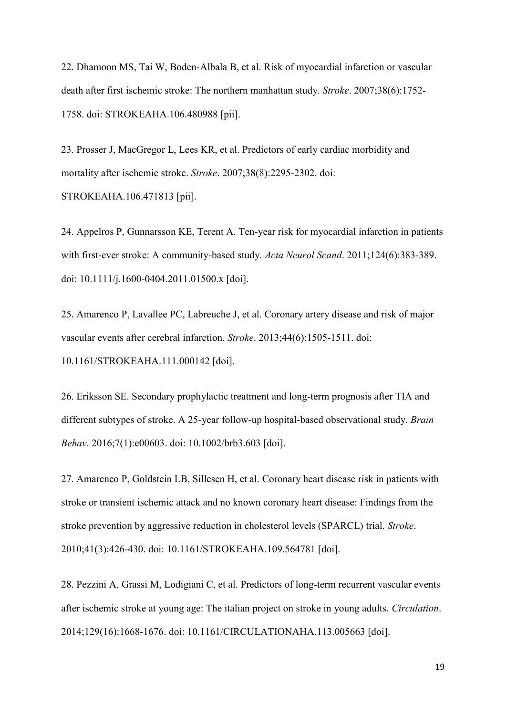22. Dhamoon MS, Tai W, Boden-Albala B, et al. Risk of myocardial infarction or vascular death after first ischemic stroke: The northern manhattan study. *Stroke*. 2007;38(6):1752- 1758. doi: STROKEAHA.106.480988 [pii].

23. Prosser J, MacGregor L, Lees KR, et al. Predictors of early cardiac morbidity and mortality after ischemic stroke. *Stroke*. 2007;38(8):2295-2302. doi: STROKEAHA.106.471813 [pii].

24. Appelros P, Gunnarsson KE, Terent A. Ten-year risk for myocardial infarction in patients with first-ever stroke: A community-based study. *Acta Neurol Scand*. 2011;124(6):383-389. doi: 10.1111/j.1600-0404.2011.01500.x [doi].

25. Amarenco P, Lavallee PC, Labreuche J, et al. Coronary artery disease and risk of major vascular events after cerebral infarction. *Stroke*. 2013;44(6):1505-1511. doi: 10.1161/STROKEAHA.111.000142 [doi].

26. Eriksson SE. Secondary prophylactic treatment and long-term prognosis after TIA and different subtypes of stroke. A 25-year follow-up hospital-based observational study. *Brain Behav*. 2016;7(1):e00603. doi: 10.1002/brb3.603 [doi].

27. Amarenco P, Goldstein LB, Sillesen H, et al. Coronary heart disease risk in patients with stroke or transient ischemic attack and no known coronary heart disease: Findings from the stroke prevention by aggressive reduction in cholesterol levels (SPARCL) trial. *Stroke*. 2010;41(3):426-430. doi: 10.1161/STROKEAHA.109.564781 [doi].

28. Pezzini A, Grassi M, Lodigiani C, et al. Predictors of long-term recurrent vascular events after ischemic stroke at young age: The italian project on stroke in young adults. *Circulation*. 2014;129(16):1668-1676. doi: 10.1161/CIRCULATIONAHA.113.005663 [doi].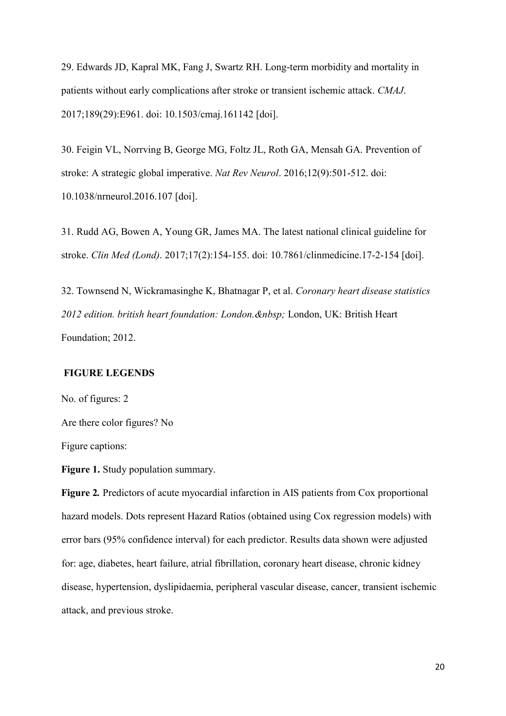29. Edwards JD, Kapral MK, Fang J, Swartz RH. Long-term morbidity and mortality in patients without early complications after stroke or transient ischemic attack. *CMAJ*. 2017;189(29):E961. doi: 10.1503/cmaj.161142 [doi].

30. Feigin VL, Norrving B, George MG, Foltz JL, Roth GA, Mensah GA. Prevention of stroke: A strategic global imperative. *Nat Rev Neurol*. 2016;12(9):501-512. doi: 10.1038/nrneurol.2016.107 [doi].

31. Rudd AG, Bowen A, Young GR, James MA. The latest national clinical guideline for stroke. *Clin Med (Lond)*. 2017;17(2):154-155. doi: 10.7861/clinmedicine.17-2-154 [doi].

32. Townsend N, Wickramasinghe K, Bhatnagar P, et al. *Coronary heart disease statistics*  2012 edition. british heart foundation: London. London, UK: British Heart Foundation; 2012.

### **FIGURE LEGENDS**

No. of figures: 2

Are there color figures? No

Figure captions:

**Figure 1.** Study population summary.

**Figure 2***.* Predictors of acute myocardial infarction in AIS patients from Cox proportional hazard models. Dots represent Hazard Ratios (obtained using Cox regression models) with error bars (95% confidence interval) for each predictor. Results data shown were adjusted for: age, diabetes, heart failure, atrial fibrillation, coronary heart disease, chronic kidney disease, hypertension, dyslipidaemia, peripheral vascular disease, cancer, transient ischemic attack, and previous stroke.